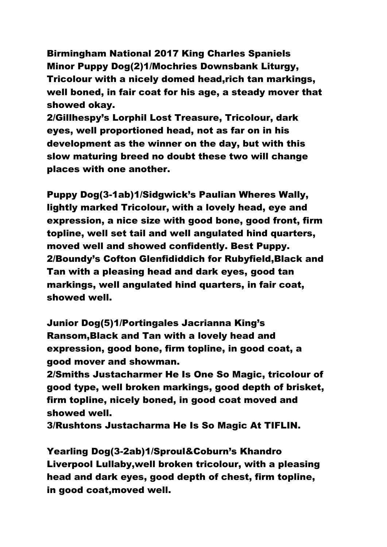Birmingham National 2017 King Charles Spaniels Minor Puppy Dog(2)1/Mochries Downsbank Liturgy, Tricolour with a nicely domed head,rich tan markings, well boned, in fair coat for his age, a steady mover that showed okay.

2/Gillhespy's Lorphil Lost Treasure, Tricolour, dark eyes, well proportioned head, not as far on in his development as the winner on the day, but with this slow maturing breed no doubt these two will change places with one another.

Puppy Dog(3-1ab)1/Sidgwick's Paulian Wheres Wally, lightly marked Tricolour, with a lovely head, eye and expression, a nice size with good bone, good front, firm topline, well set tail and well angulated hind quarters, moved well and showed confidently. Best Puppy. 2/Boundy's Cofton Glenfididdich for Rubyfield,Black and Tan with a pleasing head and dark eyes, good tan markings, well angulated hind quarters, in fair coat, showed well.

Junior Dog(5)1/Portingales Jacrianna King's Ransom,Black and Tan with a lovely head and expression, good bone, firm topline, in good coat, a good mover and showman.

2/Smiths Justacharmer He Is One So Magic, tricolour of good type, well broken markings, good depth of brisket, firm topline, nicely boned, in good coat moved and showed well.

3/Rushtons Justacharma He Is So Magic At TIFLIN.

Yearling Dog(3-2ab)1/Sproul&Coburn's Khandro Liverpool Lullaby,well broken tricolour, with a pleasing head and dark eyes, good depth of chest, firm topline, in good coat,moved well.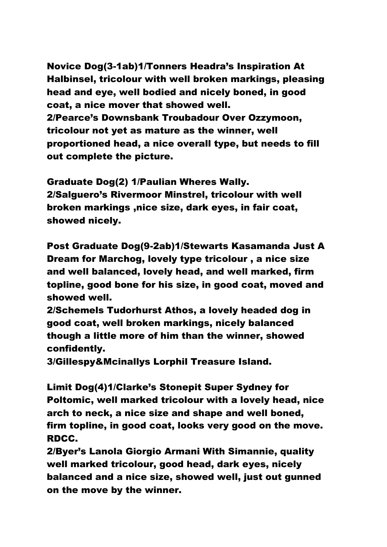Novice Dog(3-1ab)1/Tonners Headra's Inspiration At Halbinsel, tricolour with well broken markings, pleasing head and eye, well bodied and nicely boned, in good coat, a nice mover that showed well. 2/Pearce's Downsbank Troubadour Over Ozzymoon, tricolour not yet as mature as the winner, well proportioned head, a nice overall type, but needs to fill out complete the picture.

Graduate Dog(2) 1/Paulian Wheres Wally. 2/Salguero's Rivermoor Minstrel, tricolour with well broken markings ,nice size, dark eyes, in fair coat, showed nicely.

Post Graduate Dog(9-2ab)1/Stewarts Kasamanda Just A Dream for Marchog, lovely type tricolour , a nice size and well balanced, lovely head, and well marked, firm topline, good bone for his size, in good coat, moved and showed well.

2/Schemels Tudorhurst Athos, a lovely headed dog in good coat, well broken markings, nicely balanced though a little more of him than the winner, showed confidently.

3/Gillespy&Mcinallys Lorphil Treasure Island.

Limit Dog(4)1/Clarke's Stonepit Super Sydney for Poltomic, well marked tricolour with a lovely head, nice arch to neck, a nice size and shape and well boned, firm topline, in good coat, looks very good on the move. RDCC.

2/Byer's Lanola Giorgio Armani With Simannie, quality well marked tricolour, good head, dark eyes, nicely balanced and a nice size, showed well, just out gunned on the move by the winner.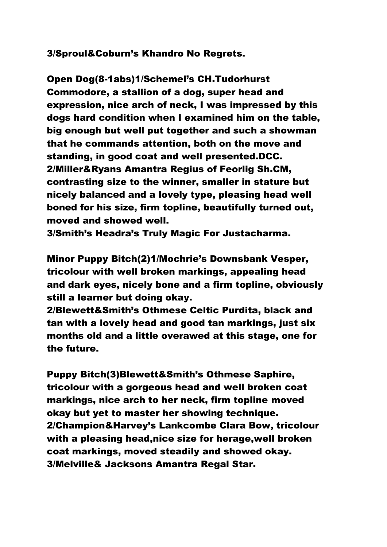3/Sproul&Coburn's Khandro No Regrets.

Open Dog(8-1abs)1/Schemel's CH.Tudorhurst Commodore, a stallion of a dog, super head and expression, nice arch of neck, I was impressed by this dogs hard condition when I examined him on the table, big enough but well put together and such a showman that he commands attention, both on the move and standing, in good coat and well presented.DCC. 2/Miller&Ryans Amantra Regius of Feorlig Sh.CM, contrasting size to the winner, smaller in stature but nicely balanced and a lovely type, pleasing head well boned for his size, firm topline, beautifully turned out, moved and showed well.

3/Smith's Headra's Truly Magic For Justacharma.

Minor Puppy Bitch(2)1/Mochrie's Downsbank Vesper, tricolour with well broken markings, appealing head and dark eyes, nicely bone and a firm topline, obviously still a learner but doing okay.

2/Blewett&Smith's Othmese Celtic Purdita, black and tan with a lovely head and good tan markings, just six months old and a little overawed at this stage, one for the future.

Puppy Bitch(3)Blewett&Smith's Othmese Saphire, tricolour with a gorgeous head and well broken coat markings, nice arch to her neck, firm topline moved okay but yet to master her showing technique. 2/Champion&Harvey's Lankcombe Clara Bow, tricolour with a pleasing head,nice size for herage,well broken coat markings, moved steadily and showed okay. 3/Melville& Jacksons Amantra Regal Star.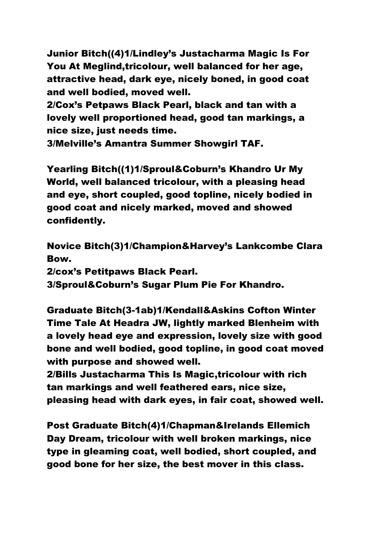Junior Bitch((4)1/Lindley's Justacharma Magic Is For You At Meglind,tricolour, well balanced for her age, attractive head, dark eye, nicely boned, in good coat and well bodied, moved well.

2/Cox's Petpaws Black Pearl, black and tan with a lovely well proportioned head, good tan markings, a nice size, just needs time.

3/Melville's Amantra Summer Showgirl TAF.

Yearling Bitch((1)1/Sproul&Coburn's Khandro Ur My World, well balanced tricolour, with a pleasing head and eye, short coupled, good topline, nicely bodied in good coat and nicely marked, moved and showed confidently.

Novice Bitch(3)1/Champion&Harvey's Lankcombe Clara Bow. 2/cox's Petitpaws Black Pearl.

3/Sproul&Coburn's Sugar Plum Pie For Khandro.

Graduate Bitch(3-1ab)1/Kendall&Askins Cofton Winter Time Tale At Headra JW, lightly marked Blenheim with a lovely head eye and expression, lovely size with good bone and well bodied, good topline, in good coat moved with purpose and showed well.

2/Bills Justacharma This Is Magic,tricolour with rich tan markings and well feathered ears, nice size, pleasing head with dark eyes, in fair coat, showed well.

Post Graduate Bitch(4)1/Chapman&Irelands Ellemich Day Dream, tricolour with well broken markings, nice type in gleaming coat, well bodied, short coupled, and good bone for her size, the best mover in this class.